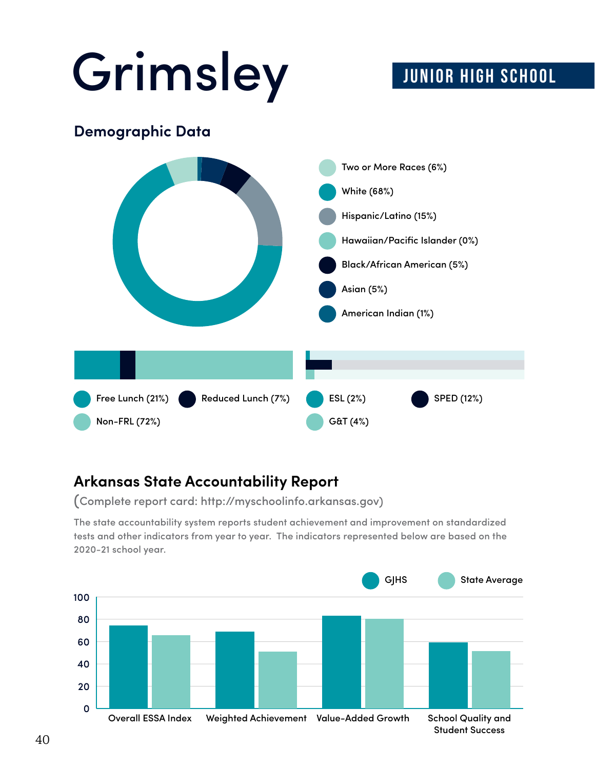# Grimsley JUNIOR HIGH SCHOOL

#### **Demographic Data**



#### **Arkansas State Accountability Report**

(Complete report card: http://myschoolinfo.arkansas.gov)

tests and other indicators from year to year. The indicators represented below are based on the 2020-21 school year. The state accountability system reports student achievement and improvement on standardized